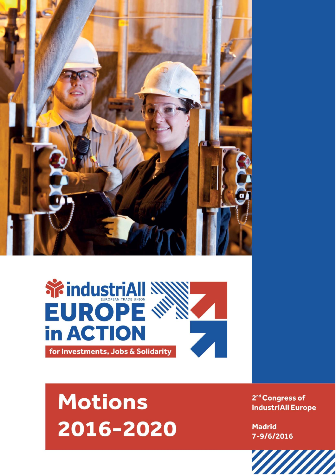



# **Motions** 2016-2020

2<sup>nd</sup> Congress of industriAll Europe

**Madrid** 7-9/6/2016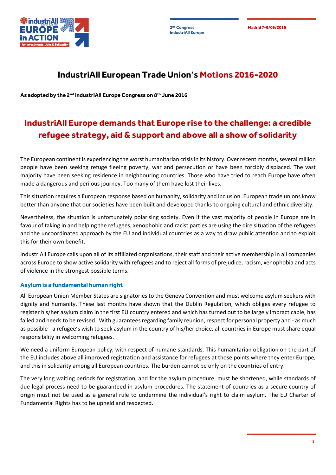**industriAll Europe**

**2 Madrid 7-9/06/2016 nd Congress**



### **IndustriAll European Trade Union's Motions 2016-2020**

**As adopted by the 2nd industriAll Europe Congress on 8th June 2016**

## **IndustriAll Europe demands that Europe rise to the challenge: a credible refugee strategy, aid & support and above all a show of solidarity**

The European continent is experiencing the worst humanitarian crisis in its history. Over recent months, several million people have been seeking refuge fleeing poverty, war and persecution or have been forcibly displaced. The vast majority have been seeking residence in neighbouring countries. Those who have tried to reach Europe have often made a dangerous and perilous journey. Too many of them have lost their lives.

This situation requires a European response based on humanity, solidarity and inclusion. European trade unions know better than anyone that our societies have been built and developed thanks to ongoing cultural and ethnic diversity.

Nevertheless, the situation is unfortunately polarising society. Even if the vast majority of people in Europe are in favour of taking in and helping the refugees, xenophobic and racist parties are using the dire situation of the refugees and the uncoordinated approach by the EU and individual countries as a way to draw public attention and to exploit this for their own benefit.

IndustriAll Europe calls upon all of its affiliated organisations, their staff and their active membership in all companies across Europe to show active solidarity with refugees and to reject all forms of prejudice, racism, xenophobia and acts of violence in the strongest possible terms.

#### **Asylum is a fundamental human right**

All European Union Member States are signatories to the Geneva Convention and must welcome asylum seekers with dignity and humanity. These last months have shown that the Dublin Regulation, which obliges every refugee to register his/her asylum claim in the first EU country entered and which has turned out to be largely impracticable, has failed and needs to be revised. With guarantees regarding family reunion, respect for personal property and - as much as possible - a refugee's wish to seek asylum in the country of his/her choice, all countries in Europe must share equal responsibility in welcoming refugees.

We need a uniform European policy, with respect of humane standards. This humanitarian obligation on the part of the EU includes above all improved registration and assistance for refugees at those points where they enter Europe, and this in solidarity among all European countries. The burden cannot be only on the countries of entry.

The very long waiting periods for registration, and for the asylum procedure, must be shortened, while standards of due legal process need to be guaranteed in asylum procedures. The statement of countries as a secure country of origin must not be used as a general rule to undermine the individual's right to claim asylum. The EU Charter of Fundamental Rights has to be upheld and respected.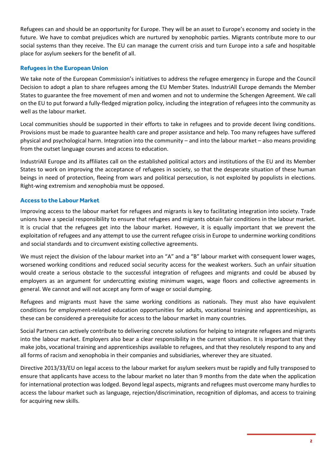Refugees can and should be an opportunity for Europe. They will be an asset to Europe's economy and society in the future. We have to combat prejudices which are nurtured by xenophobic parties. Migrants contribute more to our social systems than they receive. The EU can manage the current crisis and turn Europe into a safe and hospitable place for asylum seekers for the benefit of all.

#### **Refugees in the European Union**

We take note of the European Commission's initiatives to address the refugee emergency in Europe and the Council Decision to adopt a plan to share refugees among the EU Member States. IndustriAll Europe demands the Member States to guarantee the free movement of men and women and not to undermine the Schengen Agreement. We call on the EU to put forward a fully-fledged migration policy, including the integration of refugees into the community as well as the labour market.

Local communities should be supported in their efforts to take in refugees and to provide decent living conditions. Provisions must be made to guarantee health care and proper assistance and help. Too many refugees have suffered physical and psychological harm. Integration into the community – and into the labour market – also means providing from the outset language courses and access to education.

IndustriAll Europe and its affiliates call on the established political actors and institutions of the EU and its Member States to work on improving the acceptance of refugees in society, so that the desperate situation of these human beings in need of protection, fleeing from wars and political persecution, is not exploited by populists in elections. Right-wing extremism and xenophobia must be opposed.

#### **Access to the Labour Market**

Improving access to the labour market for refugees and migrants is key to facilitating integration into society. Trade unions have a special responsibility to ensure that refugees and migrants obtain fair conditions in the labour market. It is crucial that the refugees get into the labour market. However, it is equally important that we prevent the exploitation of refugees and any attempt to use the current refugee crisis in Europe to undermine working conditions and social standards and to circumvent existing collective agreements.

We must reject the division of the labour market into an "A" and a "B" labour market with consequent lower wages, worsened working conditions and reduced social security access for the weakest workers. Such an unfair situation would create a serious obstacle to the successful integration of refugees and migrants and could be abused by employers as an argument for undercutting existing minimum wages, wage floors and collective agreements in general. We cannot and will not accept any form of wage or social dumping.

Refugees and migrants must have the same working conditions as nationals. They must also have equivalent conditions for employment-related education opportunities for adults, vocational training and apprenticeships, as these can be considered a prerequisite for access to the labour market in many countries.

Social Partners can actively contribute to delivering concrete solutions for helping to integrate refugees and migrants into the labour market. Employers also bear a clear responsibility in the current situation. It is important that they make jobs, vocational training and apprenticeships available to refugees, and that they resolutely respond to any and all forms of racism and xenophobia in their companies and subsidiaries, wherever they are situated.

Directive 2013/33/EU on legal access to the labour market for asylum seekers must be rapidly and fully transposed to ensure that applicants have access to the labour market no later than 9 months from the date when the application for international protection was lodged. Beyond legal aspects, migrants and refugees must overcome many hurdles to access the labour market such as language, rejection/discrimination, recognition of diplomas, and access to training for acquiring new skills.